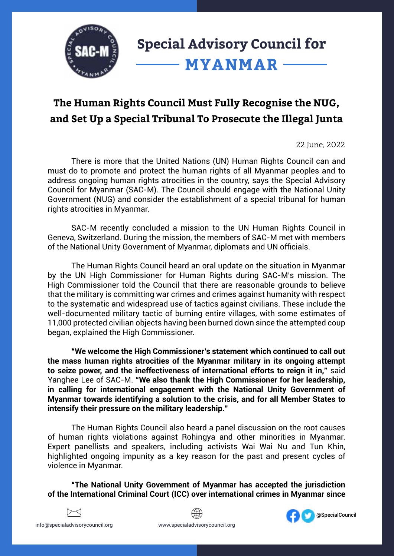

## **The Human Rights Council Must Fully Recognise the NUG, and Set Up a Special Tribunal To Prosecute the Illegal Junta**

22 June, 2022

There is more that the United Nations (UN) Human Rights Council can and must do to promote and protect the human rights of all Myanmar peoples and to address ongoing human rights atrocities in the country, says the Special Advisory Council for Myanmar (SAC-M). The Council should engage with the National Unity Government (NUG) and consider the establishment of a special tribunal for human rights atrocities in Myanmar.

SAC-M recently concluded a mission to the UN Human Rights Council in Geneva, Switzerland. During the mission, the members of SAC-M met with members of the National Unity Government of Myanmar, diplomats and UN officials.

The Human Rights Council heard an oral update on the situation in Myanmar by the UN High Commissioner for Human Rights during SAC-M's mission. The High Commissioner told the Council that there are reasonable grounds to believe that the military is committing war crimes and crimes against humanity with respect to the systematic and widespread use of tactics against civilians. These include the well-documented military tactic of burning entire villages, with some estimates of 11,000 protected civilian objects having been burned down since the attempted coup began, explained the High Commissioner.

**"We welcome the High Commissioner's statement which continued to call out the mass human rights atrocities of the Myanmar military in its ongoing attempt to seize power, and the ineffectiveness of international efforts to reign it in,"** said Yanghee Lee of SAC-M. **"We also thank the High Commissioner for her leadership, in calling for international engagement with the National Unity Government of Myanmar towards identifying a solution to the crisis, and for all Member States to intensify their pressure on the military leadership."** 

The Human Rights Council also heard a panel discussion on the root causes of human rights violations against Rohingya and other minorities in Myanmar. Expert panellists and speakers, including activists Wai Wai Nu and Tun Khin, highlighted ongoing impunity as a key reason for the past and present cycles of violence in Myanmar.

**"The National Unity Government of Myanmar has accepted the jurisdiction of the International Criminal Court (ICC) over international crimes in Myanmar since**